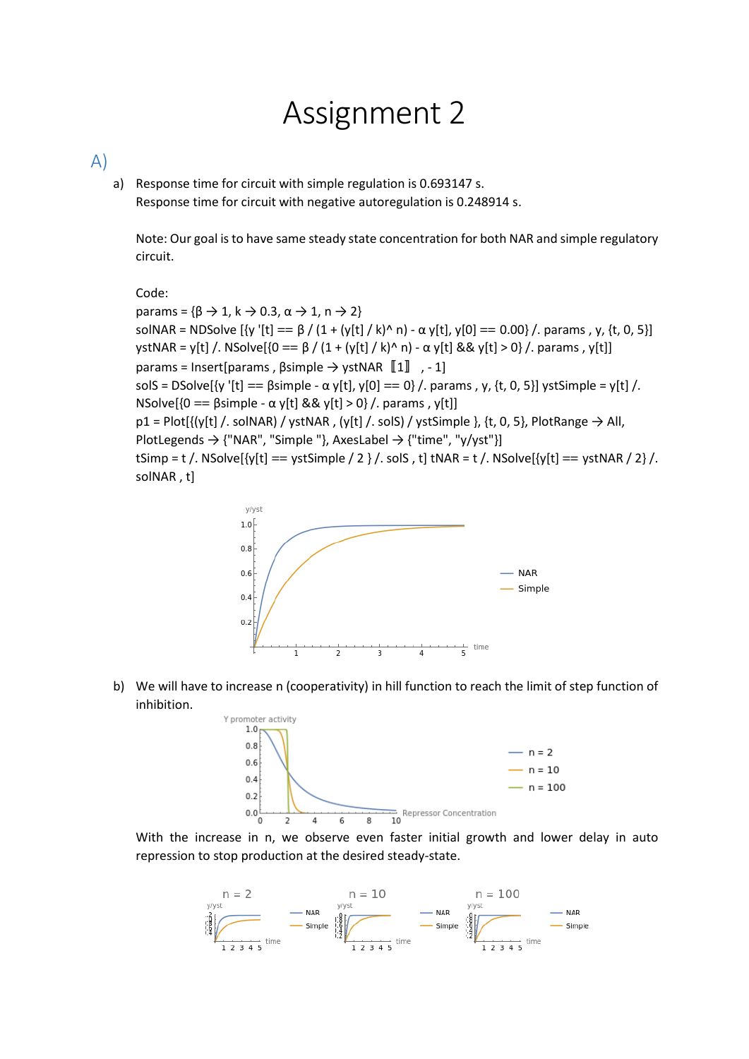## Assignment 2

## A)

a) Response time for circuit with simple regulation is 0.693147 s. Response time for circuit with negative autoregulation is 0.248914 s.

Note: Our goal is to have same steady state concentration for both NAR and simple regulatory circuit.

Code:

params = { $\beta \rightarrow 1$ , k  $\rightarrow 0.3$ ,  $\alpha \rightarrow 1$ , n  $\rightarrow 2$ } solNAR = NDSolve  $[\{v' [t] == \beta / (1 + (y[t] / k)^{\wedge} n) - \alpha y[t], y[0] == 0.00\} /$ . params, y,  $\{t, 0, 5\}]$ ystNAR = y[t] /. NSolve[{0 ==  $\beta$  / (1 + (y[t] / k)^ n) -  $\alpha$  y[t] && y[t] > 0} /. params , y[t]] params = Insert[params , βsimple → ystNAR〚1〛 , - 1] solS = DSolve[{y '[t] ==  $\beta$ simple -  $\alpha$  y[t], y[0] == 0} /. params, y, {t, 0, 5}] ystSimple = y[t] /. NSolve[{0 = βsimple - α y[t] && y[t] > 0} /. params, y[t]]  $p1 = Plot[\{(y[t], \text{solNAR}) / ystNAR, (y[t], \text{solS}) / ystSimple\}, \{t, 0, 5\}, PlotRange \rightarrow All,$ PlotLegends  $\rightarrow$  {"NAR", "Simple "}, AxesLabel  $\rightarrow$  {"time", "y/yst"}] tSimp = t /. NSolve[ $\{y[t] == ystSimple / 2\}$ /. solS, t] tNAR = t /. NSolve[ $\{y[t] == ystNAR / 2\}$ /. solNAR , t]



b) We will have to increase n (cooperativity) in hill function to reach the limit of step function of inhibition.



With the increase in n, we observe even faster initial growth and lower delay in auto repression to stop production at the desired steady-state.

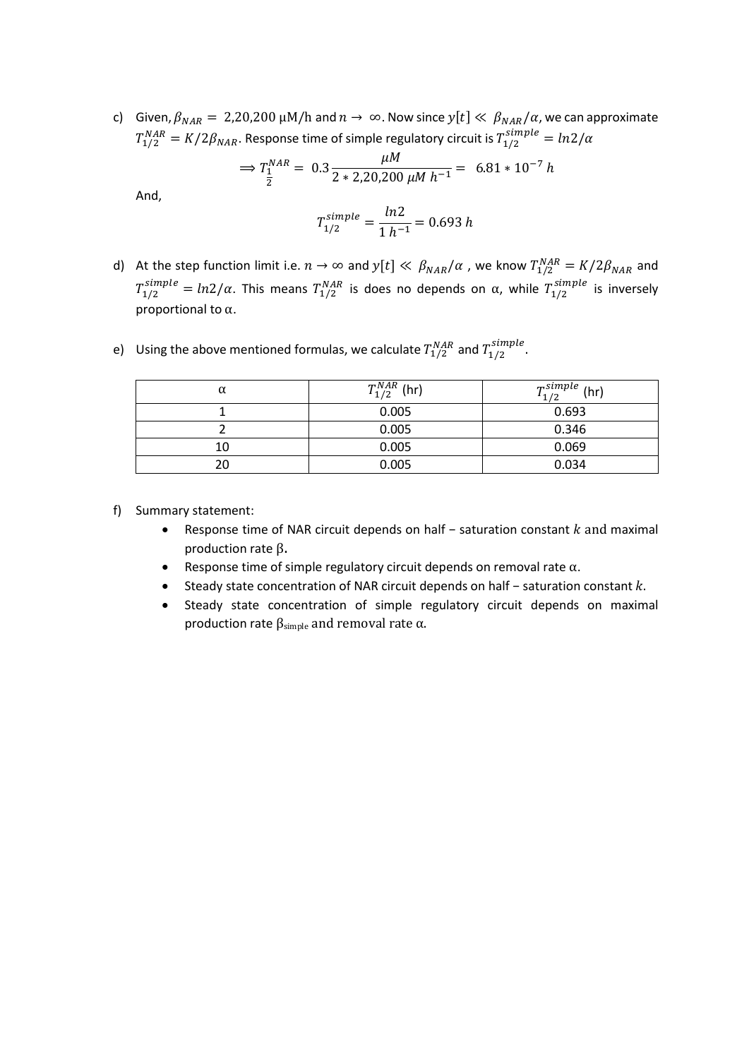c) Given,  $\beta_{NAR} = 2,20,200 \mu M/h$  and  $n \to \infty$ . Now since  $y[t] \ll \beta_{NAR}/\alpha$ , we can approximate  $T^{NAR}_{1/2}=K/2\beta_{NAR}.$  Response time of simple regulatory circuit is  $T^{simple}_{1/2}=ln2/\alpha$ 

$$
\Rightarrow T_2^{NAR} = 0.3 \frac{\mu M}{2 \times 2,20,200 \mu M \, h^{-1}} = 6.81 \times 10^{-7} \, h
$$

And,

$$
T_{1/2}^{simple} = \frac{ln2}{1 h^{-1}} = 0.693 h
$$

- d) At the step function limit i.e.  $n \to \infty$  and  $y[t] \ll \beta_{NAR}/\alpha$  , we know  $T_{1/2}^{NAR} = K/2\beta_{NAR}$  and  $T_{1/2}^{simple}=ln2/\alpha$ . This means  $T_{1/2}^{NAR}$  is does no depends on  $\alpha$ , while  $T_{1/2}^{simple}$  is inversely proportional to α.
	- $\alpha$  1/2 (hr)  $T_{1/2}^{NAR}$  (hr)  $T_{1/2}^{sin}$  $T_{1/2}^{simple}$  (hr) 1 0.005 0.693 2 0.005 0.346 10 0.005 0.069 20 0.005 0.034
- e) Using the above mentioned formulas, we calculate  $T_{1/2}^{NAR}$  and  $T_{1/2}^{simple}$ .

- f) Summary statement:
	- Response time of NAR circuit depends on half saturation constant  $k$  and maximal production rate β.
	- **•** Response time of simple regulatory circuit depends on removal rate  $\alpha$ .
	- Steady state concentration of NAR circuit depends on half saturation constant  $k$ .
	- Steady state concentration of simple regulatory circuit depends on maximal production rate  $β<sub>simple</sub>$  and removal rate α.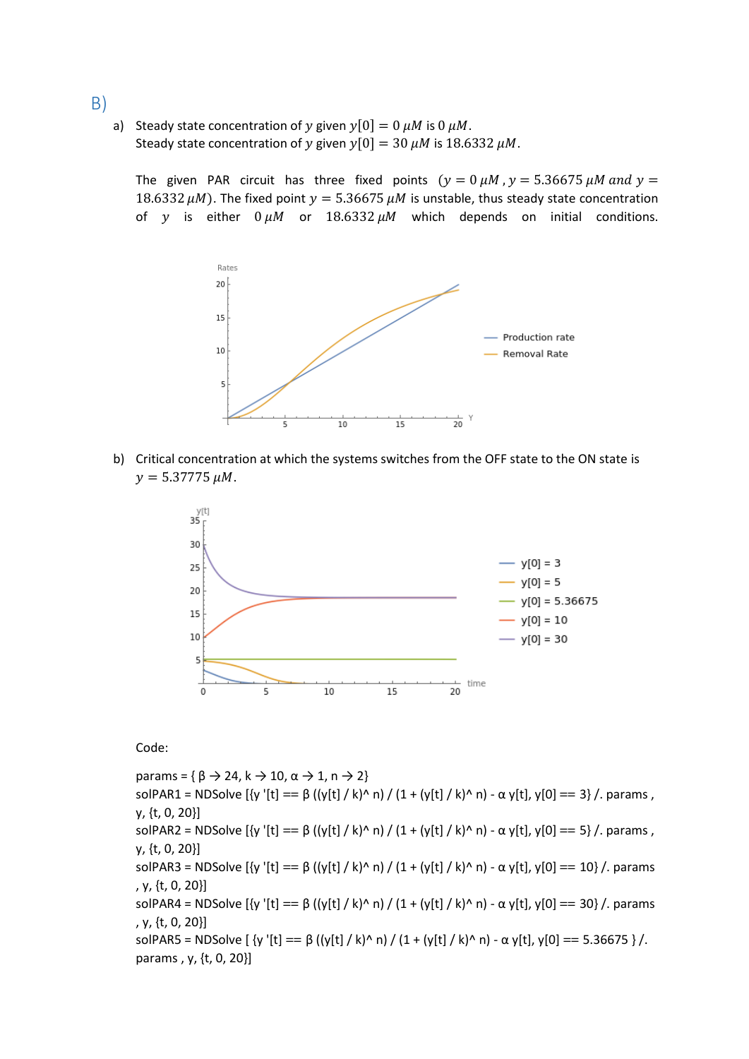- B)
- a) Steady state concentration of y given  $y[0] = 0 \mu M$  is 0  $\mu M$ . Steady state concentration of y given  $y[0] = 30 \mu M$  is 18.6332  $\mu$ M.

The given PAR circuit has three fixed points ( $y = 0 \mu M$ ,  $y = 5.36675 \mu M$  and  $y =$ 18.6332  $\mu$ M). The fixed point  $y = 5.36675 \mu$ M is unstable, thus steady state concentration of y is either  $0 \mu M$  or  $18.6332 \mu M$  which depends on initial conditions.



b) Critical concentration at which the systems switches from the OFF state to the ON state is  $y = 5.37775 \mu M$ .



Code:

params = { $\beta \rightarrow 24$ , k  $\rightarrow 10$ ,  $\alpha \rightarrow 1$ , n  $\rightarrow 2$ } solPAR1 = NDSolve  $[\{y' [t] == \beta ((y[t] / k)^{\wedge} n) / (1 + (y[t] / k)^{\wedge} n) - \alpha y[t], y[0] == 3\}$ . params, y, {t, 0, 20}] solPAR2 = NDSolve  $[\{y' [t] == \beta ((y[t] / k)^n n) / (1 + (y[t] / k)^n n) - \alpha y[t], y[0] == 5\}$ /. params, y, {t, 0, 20}] solPAR3 = NDSolve  $[\{y' [t] == β (y[t] / k)^n n) / (1 + (y[t] / k)^n n) - α y[t], y[0] == 10\}$ /. params , y, {t, 0, 20}] solPAR4 = NDSolve  $[\mathbf{y}']$  t] == β ((y[t] / k)^ n) / (1 + (y[t] / k)^ n) - α y[t], y[0] == 30} /. params , y, {t, 0, 20}] solPAR5 = NDSolve [ {y '[t] == β ((y[t] / k)^ n) / (1 + (y[t] / k)^ n) - α y[t], y[0] == 5.36675 } /. params , y, {t, 0, 20}]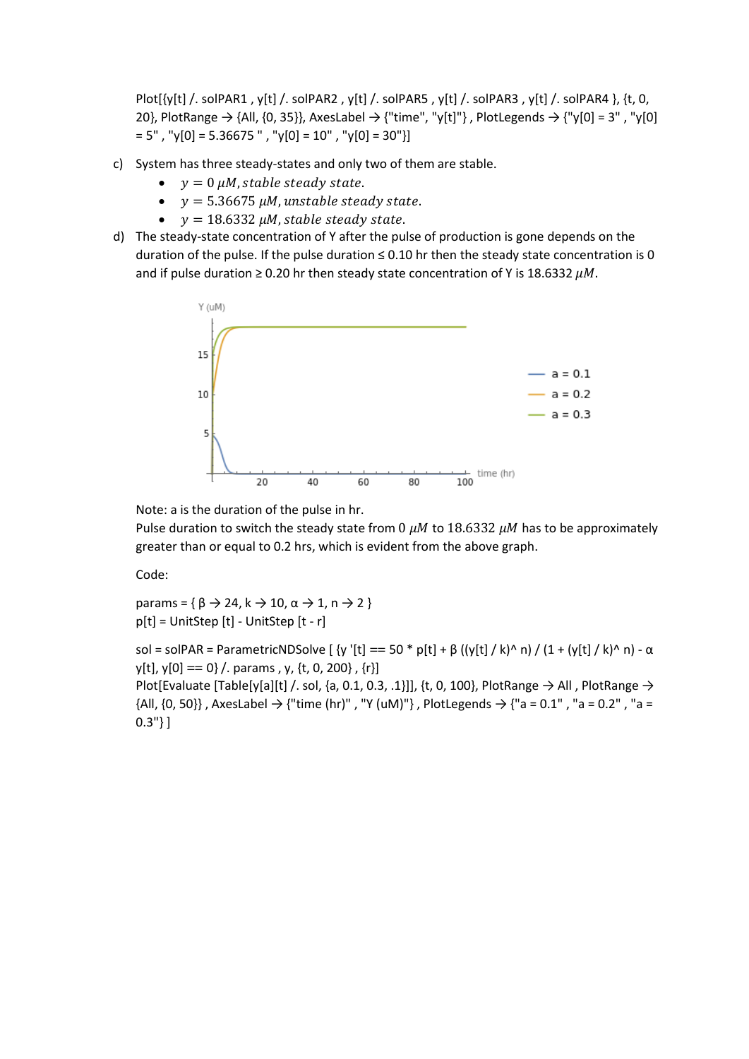Plot[{y[t] /. solPAR1 , y[t] /. solPAR2 , y[t] /. solPAR5 , y[t] /. solPAR3 , y[t] /. solPAR4 }, {t, 0, 20}, PlotRange  $\rightarrow$  {All, {0, 35}}, AxesLabel  $\rightarrow$  {"time", "y[t]"}, PlotLegends  $\rightarrow$  {"y[0] = 3", "y[0]  $= 5"$ , "y[0] = 5.36675 ", "y[0] = 10", "y[0] = 30"}]

- c) System has three steady-states and only two of them are stable.
	- $\bullet$   $y = 0 \mu M$ , stable steady state.
	- $y = 5.36675 \mu M$ , unstable steady state.
	- $\bullet$  y = 18.6332  $\mu$ M, stable steady state.
- d) The steady-state concentration of Y after the pulse of production is gone depends on the duration of the pulse. If the pulse duration  $\leq 0.10$  hr then the steady state concentration is 0 and if pulse duration  $\geq 0.20$  hr then steady state concentration of Y is 18.6332  $\mu$ M.



Note: a is the duration of the pulse in hr.

Pulse duration to switch the steady state from 0  $\mu$ M to 18.6332  $\mu$ M has to be approximately greater than or equal to 0.2 hrs, which is evident from the above graph.

Code:

params = { $\beta \rightarrow 24$ , k  $\rightarrow 10$ ,  $\alpha \rightarrow 1$ , n  $\rightarrow 2$  } p[t] = UnitStep [t] - UnitStep [t - r]

sol = solPAR = ParametricNDSolve [  $\{y' [t] == 50 * p[t] + β (|y[t] / k)^n n\} / (1 + (y[t] / k)^n n) - α$  $y[t], y[0] == 0$  /. params, y, {t, 0, 200}, {r}] Plot[Evaluate [Table[y[a][t] /. sol, {a, 0.1, 0.3, .1}]], {t, 0, 100}, PlotRange  $\rightarrow$  All , PlotRange  $\rightarrow$ {All, {0, 50}}, AxesLabel  $\rightarrow$  {"time (hr)", "Y (uM)"}, PlotLegends  $\rightarrow$  {"a = 0.1", "a = 0.2", "a =  $0.3"$ } ]